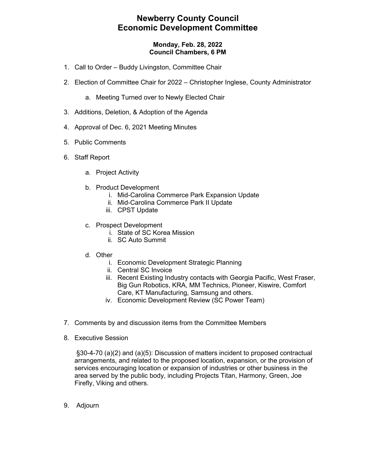### **Newberry County Council Economic Development Committee**

#### **Monday, Feb. 28, 2022 Council Chambers, 6 PM**

- 1. Call to Order Buddy Livingston, Committee Chair
- 2. Election of Committee Chair for 2022 Christopher Inglese, County Administrator
	- a. Meeting Turned over to Newly Elected Chair
- 3. Additions, Deletion, & Adoption of the Agenda
- 4. Approval of Dec. 6, 2021 Meeting Minutes
- 5. Public Comments
- 6. Staff Report
	- a. Project Activity
	- b. Product Development
		- i. Mid-Carolina Commerce Park Expansion Update
			- ii. Mid-Carolina Commerce Park II Update
		- iii. CPST Update
	- c. Prospect Development
		- i. State of SC Korea Mission
		- ii. SC Auto Summit
	- d. Other
		- i. Economic Development Strategic Planning
		- ii. Central SC Invoice
		- iii. Recent Existing Industry contacts with Georgia Pacific, West Fraser, Big Gun Robotics, KRA, MM Technics, Pioneer, Kiswire, Comfort Care, KT Manufacturing, Samsung and others.
		- iv. Economic Development Review (SC Power Team)
- 7. Comments by and discussion items from the Committee Members
- 8. Executive Session

§30-4-70 (a)(2) and (a)(5): Discussion of matters incident to proposed contractual arrangements, and related to the proposed location, expansion, or the provision of services encouraging location or expansion of industries or other business in the area served by the public body, including Projects Titan, Harmony, Green, Joe Firefly, Viking and others.

9. Adjourn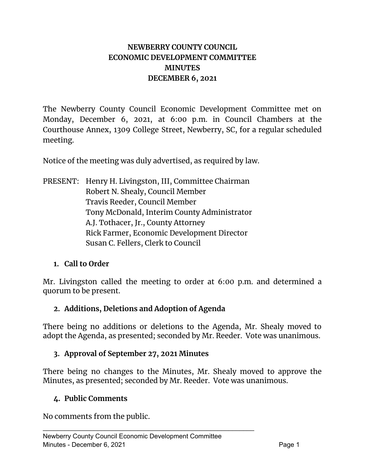# **NEWBERRY COUNTY COUNCIL ECONOMIC DEVELOPMENT COMMITTEE MINUTES DECEMBER 6, 2021**

The Newberry County Council Economic Development Committee met on Monday, December 6, 2021, at 6:00 p.m. in Council Chambers at the Courthouse Annex, 1309 College Street, Newberry, SC, for a regular scheduled meeting.

Notice of the meeting was duly advertised, as required by law.

PRESENT: Henry H. Livingston, III, Committee Chairman Robert N. Shealy, Council Member Travis Reeder, Council Member Tony McDonald, Interim County Administrator A.J. Tothacer, Jr., County Attorney Rick Farmer, Economic Development Director Susan C. Fellers, Clerk to Council

# **1. Call to Order**

Mr. Livingston called the meeting to order at 6:00 p.m. and determined a quorum to be present.

### **2. Additions, Deletions and Adoption of Agenda**

There being no additions or deletions to the Agenda, Mr. Shealy moved to adopt the Agenda, as presented; seconded by Mr. Reeder. Vote was unanimous.

### **3. Approval of September 27, 2021 Minutes**

There being no changes to the Minutes, Mr. Shealy moved to approve the Minutes, as presented; seconded by Mr. Reeder. Vote was unanimous.

### **4. Public Comments**

No comments from the public.

\_\_\_\_\_\_\_\_\_\_\_\_\_\_\_\_\_\_\_\_\_\_\_\_\_\_\_\_\_\_\_\_\_\_\_\_\_\_\_\_\_\_\_\_\_\_\_\_\_\_\_\_\_\_\_\_\_\_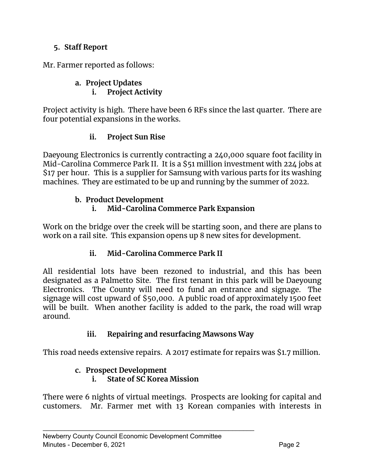# **5. Staff Report**

Mr. Farmer reported as follows:

### **a. Project Updates i. Project Activity**

Project activity is high. There have been 6 RFs since the last quarter. There are four potential expansions in the works.

# **ii. Project Sun Rise**

Daeyoung Electronics is currently contracting a 240,000 square foot facility in Mid-Carolina Commerce Park II. It is a \$51 million investment with 224 jobs at \$17 per hour. This is a supplier for Samsung with various parts for its washing machines. They are estimated to be up and running by the summer of 2022.

# **b. Product Development**

# **i. Mid-Carolina Commerce Park Expansion**

Work on the bridge over the creek will be starting soon, and there are plans to work on a rail site. This expansion opens up 8 new sites for development.

# **ii. Mid-Carolina Commerce Park II**

All residential lots have been rezoned to industrial, and this has been designated as a Palmetto Site. The first tenant in this park will be Daeyoung Electronics. The County will need to fund an entrance and signage. The signage will cost upward of \$50,000. A public road of approximately 1500 feet will be built. When another facility is added to the park, the road will wrap around.

# **iii. Repairing and resurfacing Mawsons Way**

This road needs extensive repairs. A 2017 estimate for repairs was \$1.7 million.

# **c. Prospect Development**

# **i. State of SC Korea Mission**

\_\_\_\_\_\_\_\_\_\_\_\_\_\_\_\_\_\_\_\_\_\_\_\_\_\_\_\_\_\_\_\_\_\_\_\_\_\_\_\_\_\_\_\_\_\_\_\_\_\_\_\_\_\_\_\_\_\_

There were 6 nights of virtual meetings. Prospects are looking for capital and customers. Mr. Farmer met with 13 Korean companies with interests in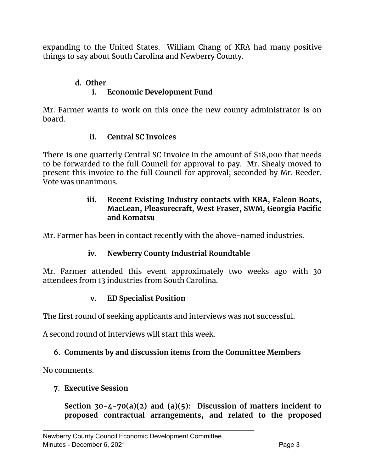expanding to the United States. William Chang of KRA had many positive things to say about South Carolina and Newberry County.

### **d. Other i. Economic Development Fund**

Mr. Farmer wants to work on this once the new county administrator is on board.

# **ii. Central SC Invoices**

There is one quarterly Central SC Invoice in the amount of \$18,000 that needs to be forwarded to the full Council for approval to pay. Mr. Shealy moved to present this invoice to the full Council for approval; seconded by Mr. Reeder. Vote was unanimous.

### **iii. Recent Existing Industry contacts with KRA, Falcon Boats, MacLean, Pleasurecraft, West Fraser, SWM, Georgia Pacific and Komatsu**

Mr. Farmer has been in contact recently with the above-named industries.

### **iv. Newberry County Industrial Roundtable**

Mr. Farmer attended this event approximately two weeks ago with 30 attendees from 13 industries from South Carolina.

### **v. ED Specialist Position**

The first round of seeking applicants and interviews was not successful.

A second round of interviews will start this week.

### **6. Comments by and discussion items from the Committee Members**

No comments.

### **7. Executive Session**

**Section 30-4-70(a)(2) and (a)(5): Discussion of matters incident to proposed contractual arrangements, and related to the proposed**

\_\_\_\_\_\_\_\_\_\_\_\_\_\_\_\_\_\_\_\_\_\_\_\_\_\_\_\_\_\_\_\_\_\_\_\_\_\_\_\_\_\_\_\_\_\_\_\_\_\_\_\_\_\_\_\_\_\_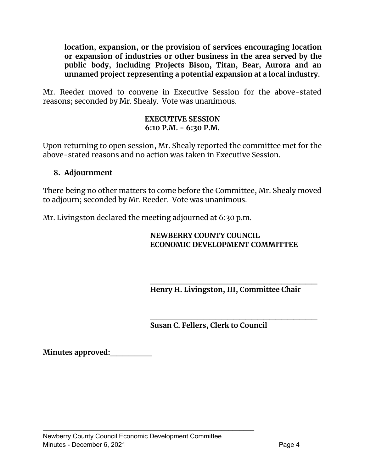**location, expansion, or the provision of services encouraging location or expansion of industries or other business in the area served by the public body, including Projects Bison, Titan, Bear, Aurora and an unnamed project representing a potential expansion at a local industry.**

Mr. Reeder moved to convene in Executive Session for the above-stated reasons; seconded by Mr. Shealy. Vote was unanimous.

### **EXECUTIVE SESSION 6:10 P.M. - 6:30 P.M.**

Upon returning to open session, Mr. Shealy reported the committee met for the above-stated reasons and no action was taken in Executive Session.

### **8. Adjournment**

There being no other matters to come before the Committee, Mr. Shealy moved to adjourn; seconded by Mr. Reeder. Vote was unanimous.

Mr. Livingston declared the meeting adjourned at 6:30 p.m.

### **NEWBERRY COUNTY COUNCIL ECONOMIC DEVELOPMENT COMMITTEE**

**\_\_\_\_\_\_\_\_\_\_\_\_\_\_\_\_\_\_\_\_\_\_\_\_\_\_\_\_ Henry H. Livingston, III, Committee Chair**

**\_\_\_\_\_\_\_\_\_\_\_\_\_\_\_\_\_\_\_\_\_\_\_\_\_\_\_\_ Susan C. Fellers, Clerk to Council**

**Minutes approved:\_\_\_\_\_\_\_**

\_\_\_\_\_\_\_\_\_\_\_\_\_\_\_\_\_\_\_\_\_\_\_\_\_\_\_\_\_\_\_\_\_\_\_\_\_\_\_\_\_\_\_\_\_\_\_\_\_\_\_\_\_\_\_\_\_\_